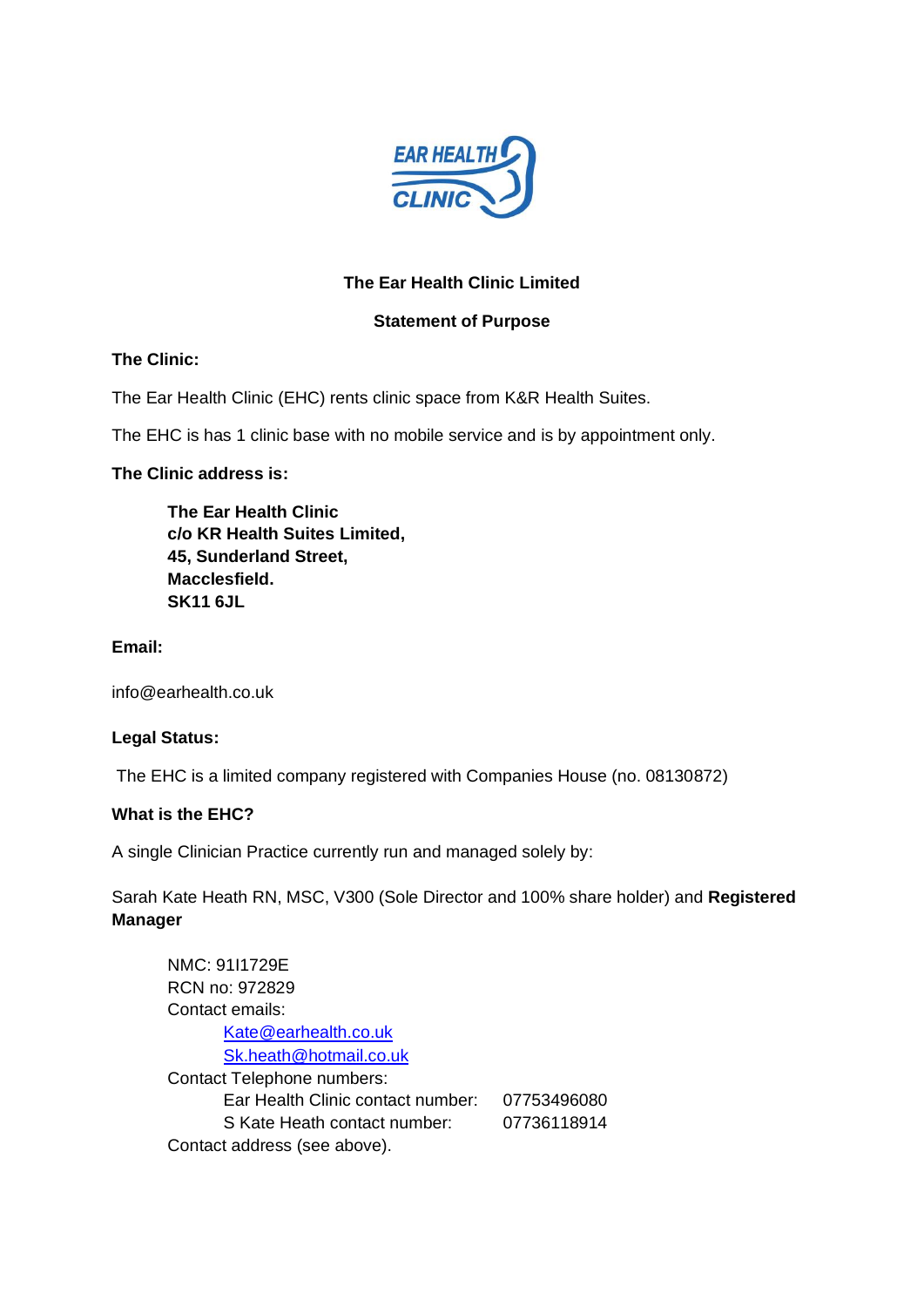

# **The Ear Health Clinic Limited**

### **Statement of Purpose**

# **The Clinic:**

The Ear Health Clinic (EHC) rents clinic space from K&R Health Suites.

The EHC is has 1 clinic base with no mobile service and is by appointment only.

## **The Clinic address is:**

**The Ear Health Clinic c/o KR Health Suites Limited, 45, Sunderland Street, Macclesfield. SK11 6JL**

### **Email:**

info@earhealth.co.uk

#### **Legal Status:**

The EHC is a limited company registered with Companies House (no. 08130872)

# **What is the EHC?**

A single Clinician Practice currently run and managed solely by:

Sarah Kate Heath RN, MSC, V300 (Sole Director and 100% share holder) and **Registered Manager**

| NMC: 91I1729E                     |             |
|-----------------------------------|-------------|
| RCN no: 972829                    |             |
| Contact emails:                   |             |
| Kate@earhealth.co.uk              |             |
| Sk.heath@hotmail.co.uk            |             |
| Contact Telephone numbers:        |             |
| Ear Health Clinic contact number: | 07753496080 |
| S Kate Heath contact number:      | 07736118914 |
| Contact address (see above).      |             |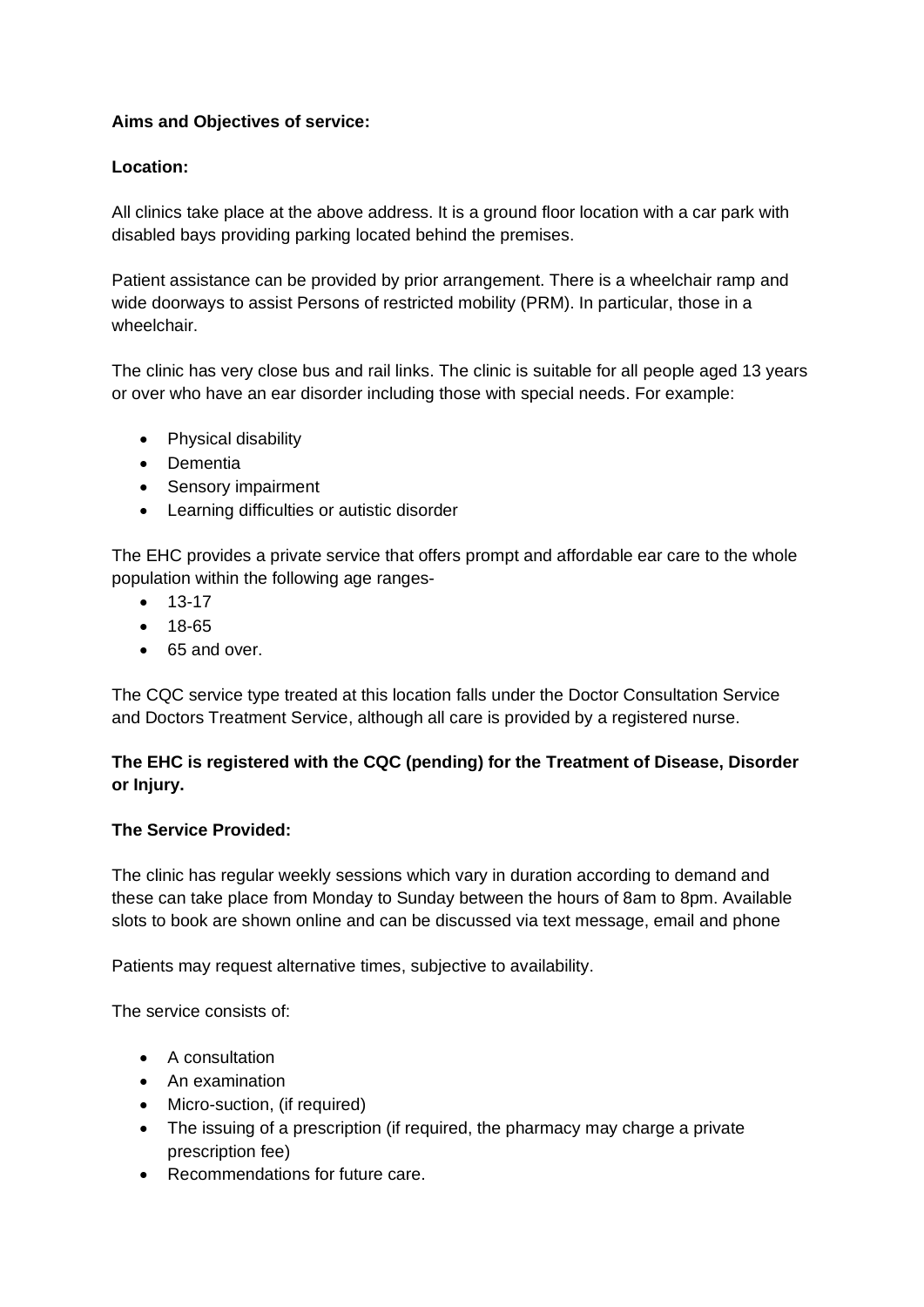# **Aims and Objectives of service:**

## **Location:**

All clinics take place at the above address. It is a ground floor location with a car park with disabled bays providing parking located behind the premises.

Patient assistance can be provided by prior arrangement. There is a wheelchair ramp and wide doorways to assist Persons of restricted mobility (PRM). In particular, those in a wheelchair.

The clinic has very close bus and rail links. The clinic is suitable for all people aged 13 years or over who have an ear disorder including those with special needs. For example:

- Physical disability
- Dementia
- Sensory impairment
- Learning difficulties or autistic disorder

The EHC provides a private service that offers prompt and affordable ear care to the whole population within the following age ranges-

- 13-17
- 18-65
- 65 and over.

The CQC service type treated at this location falls under the Doctor Consultation Service and Doctors Treatment Service, although all care is provided by a registered nurse.

# **The EHC is registered with the CQC (pending) for the Treatment of Disease, Disorder or Injury.**

#### **The Service Provided:**

The clinic has regular weekly sessions which vary in duration according to demand and these can take place from Monday to Sunday between the hours of 8am to 8pm. Available slots to book are shown online and can be discussed via text message, email and phone

Patients may request alternative times, subjective to availability.

The service consists of:

- A consultation
- An examination
- Micro-suction, (if required)
- The issuing of a prescription (if required, the pharmacy may charge a private prescription fee)
- Recommendations for future care.